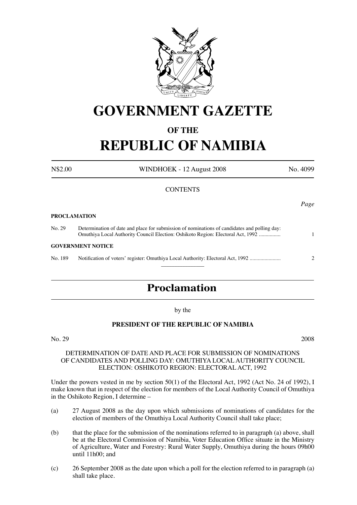

# **GOVERNMENT GAZETTE**

## **OF THE REPUBLIC OF NAMIBIA**

| N\$2.00 | WINDHOEK - 12 August 2008                                                                                                                                                       | No. 4099                |
|---------|---------------------------------------------------------------------------------------------------------------------------------------------------------------------------------|-------------------------|
|         | <b>CONTENTS</b>                                                                                                                                                                 |                         |
|         |                                                                                                                                                                                 | Page                    |
|         | <b>PROCLAMATION</b>                                                                                                                                                             |                         |
| No. 29  | Determination of date and place for submission of nominations of candidates and polling day:<br>Omuthiya Local Authority Council Election: Oshikoto Region: Electoral Act, 1992 |                         |
|         | <b>GOVERNMENT NOTICE</b>                                                                                                                                                        |                         |
| No. 189 | Notification of voters' register: Omuthiya Local Authority: Electoral Act, 1992                                                                                                 | $\overline{\mathbf{c}}$ |
|         |                                                                                                                                                                                 |                         |

## **Proclamation**

by the

#### **PRESIDENT OF THE REPUBLIC OF NAMIBIA**

#### No. 29 2008

#### DETERMINATION OF DATE AND PLACE FOR SUBMISSION OF NOMINATIONS OF CANDIDATES AND POLLING DAY: OMUTHIYA LOCAL AUTHORITY COUNCIL ELECTION: OSHIKOTO REGION: ELECTORAL ACT, 1992

Under the powers vested in me by section 50(1) of the Electoral Act, 1992 (Act No. 24 of 1992), I make known that in respect of the election for members of the Local Authority Council of Omuthiya in the Oshikoto Region, I determine –

- (a) 27 August 2008 as the day upon which submissions of nominations of candidates for the election of members of the Omuthiya Local Authority Council shall take place;
- (b) that the place for the submission of the nominations referred to in paragraph (a) above, shall be at the Electoral Commission of Namibia, Voter Education Office situate in the Ministry of Agriculture, Water and Forestry: Rural Water Supply, Omuthiya during the hours 09h00 until 11h00; and
- (c) 26 September 2008 as the date upon which a poll for the election referred to in paragraph (a) shall take place.